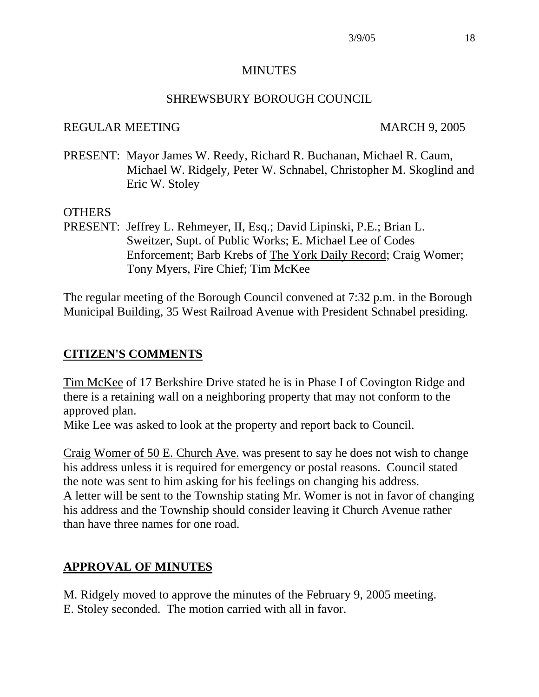#### MINUTES

#### SHREWSBURY BOROUGH COUNCIL

#### REGULAR MEETING MARCH 9, 2005

PRESENT: Mayor James W. Reedy, Richard R. Buchanan, Michael R. Caum, Michael W. Ridgely, Peter W. Schnabel, Christopher M. Skoglind and Eric W. Stoley

#### OTHERS

PRESENT: Jeffrey L. Rehmeyer, II, Esq.; David Lipinski, P.E.; Brian L. Sweitzer, Supt. of Public Works; E. Michael Lee of Codes Enforcement; Barb Krebs of The York Daily Record; Craig Womer; Tony Myers, Fire Chief; Tim McKee

The regular meeting of the Borough Council convened at 7:32 p.m. in the Borough Municipal Building, 35 West Railroad Avenue with President Schnabel presiding.

## **CITIZEN'S COMMENTS**

Tim McKee of 17 Berkshire Drive stated he is in Phase I of Covington Ridge and there is a retaining wall on a neighboring property that may not conform to the approved plan.

Mike Lee was asked to look at the property and report back to Council.

Craig Womer of 50 E. Church Ave. was present to say he does not wish to change his address unless it is required for emergency or postal reasons. Council stated the note was sent to him asking for his feelings on changing his address. A letter will be sent to the Township stating Mr. Womer is not in favor of changing his address and the Township should consider leaving it Church Avenue rather than have three names for one road.

# **APPROVAL OF MINUTES**

M. Ridgely moved to approve the minutes of the February 9, 2005 meeting. E. Stoley seconded. The motion carried with all in favor.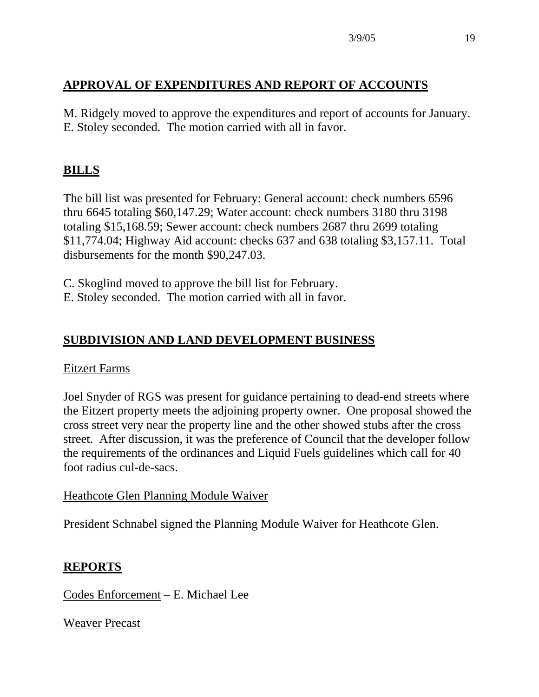# **APPROVAL OF EXPENDITURES AND REPORT OF ACCOUNTS**

M. Ridgely moved to approve the expenditures and report of accounts for January. E. Stoley seconded. The motion carried with all in favor.

# **BILLS**

The bill list was presented for February: General account: check numbers 6596 thru 6645 totaling \$60,147.29; Water account: check numbers 3180 thru 3198 totaling \$15,168.59; Sewer account: check numbers 2687 thru 2699 totaling \$11,774.04; Highway Aid account: checks 637 and 638 totaling \$3,157.11. Total disbursements for the month \$90,247.03.

C. Skoglind moved to approve the bill list for February.

E. Stoley seconded. The motion carried with all in favor.

# **SUBDIVISION AND LAND DEVELOPMENT BUSINESS**

#### Eitzert Farms

Joel Snyder of RGS was present for guidance pertaining to dead-end streets where the Eitzert property meets the adjoining property owner. One proposal showed the cross street very near the property line and the other showed stubs after the cross street. After discussion, it was the preference of Council that the developer follow the requirements of the ordinances and Liquid Fuels guidelines which call for 40 foot radius cul-de-sacs.

#### Heathcote Glen Planning Module Waiver

President Schnabel signed the Planning Module Waiver for Heathcote Glen.

## **REPORTS**

Codes Enforcement – E. Michael Lee

Weaver Precast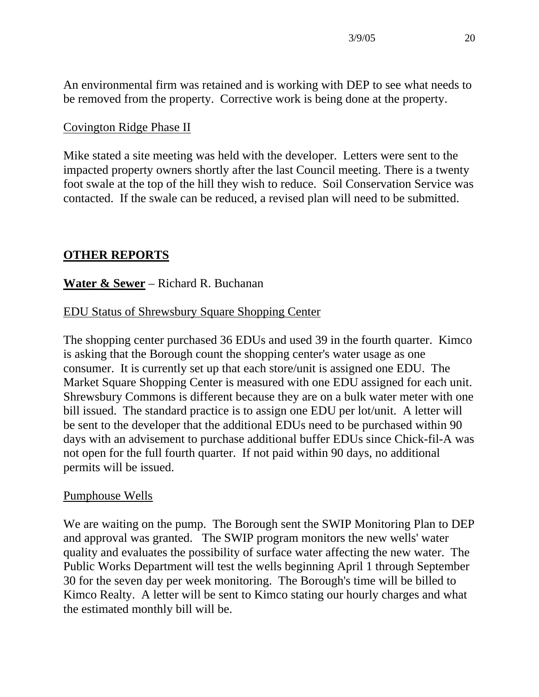An environmental firm was retained and is working with DEP to see what needs to be removed from the property. Corrective work is being done at the property.

#### Covington Ridge Phase II

Mike stated a site meeting was held with the developer. Letters were sent to the impacted property owners shortly after the last Council meeting. There is a twenty foot swale at the top of the hill they wish to reduce. Soil Conservation Service was contacted. If the swale can be reduced, a revised plan will need to be submitted.

## **OTHER REPORTS**

#### **Water & Sewer** – Richard R. Buchanan

#### EDU Status of Shrewsbury Square Shopping Center

The shopping center purchased 36 EDUs and used 39 in the fourth quarter. Kimco is asking that the Borough count the shopping center's water usage as one consumer. It is currently set up that each store/unit is assigned one EDU. The Market Square Shopping Center is measured with one EDU assigned for each unit. Shrewsbury Commons is different because they are on a bulk water meter with one bill issued. The standard practice is to assign one EDU per lot/unit. A letter will be sent to the developer that the additional EDUs need to be purchased within 90 days with an advisement to purchase additional buffer EDUs since Chick-fil-A was not open for the full fourth quarter. If not paid within 90 days, no additional permits will be issued.

#### Pumphouse Wells

We are waiting on the pump. The Borough sent the SWIP Monitoring Plan to DEP and approval was granted. The SWIP program monitors the new wells' water quality and evaluates the possibility of surface water affecting the new water. The Public Works Department will test the wells beginning April 1 through September 30 for the seven day per week monitoring. The Borough's time will be billed to Kimco Realty. A letter will be sent to Kimco stating our hourly charges and what the estimated monthly bill will be.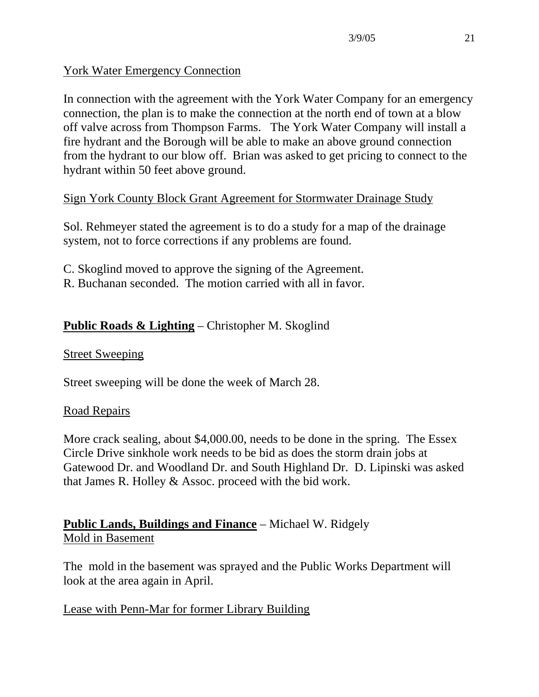# York Water Emergency Connection

In connection with the agreement with the York Water Company for an emergency connection, the plan is to make the connection at the north end of town at a blow off valve across from Thompson Farms. The York Water Company will install a fire hydrant and the Borough will be able to make an above ground connection from the hydrant to our blow off. Brian was asked to get pricing to connect to the hydrant within 50 feet above ground.

# Sign York County Block Grant Agreement for Stormwater Drainage Study

Sol. Rehmeyer stated the agreement is to do a study for a map of the drainage system, not to force corrections if any problems are found.

- C. Skoglind moved to approve the signing of the Agreement.
- R. Buchanan seconded. The motion carried with all in favor.

# **Public Roads & Lighting** – Christopher M. Skoglind

## Street Sweeping

Street sweeping will be done the week of March 28.

# Road Repairs

More crack sealing, about \$4,000.00, needs to be done in the spring. The Essex Circle Drive sinkhole work needs to be bid as does the storm drain jobs at Gatewood Dr. and Woodland Dr. and South Highland Dr. D. Lipinski was asked that James R. Holley & Assoc. proceed with the bid work.

# **Public Lands, Buildings and Finance** – Michael W. Ridgely Mold in Basement

The mold in the basement was sprayed and the Public Works Department will look at the area again in April.

# Lease with Penn-Mar for former Library Building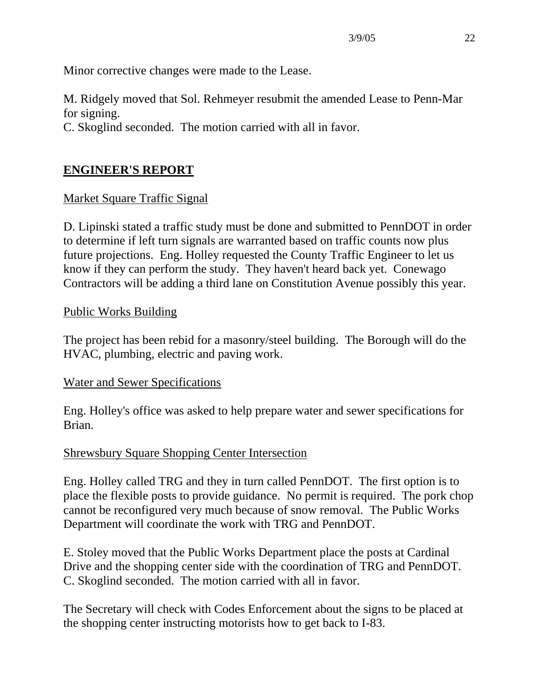Minor corrective changes were made to the Lease.

M. Ridgely moved that Sol. Rehmeyer resubmit the amended Lease to Penn-Mar for signing.

C. Skoglind seconded. The motion carried with all in favor.

# **ENGINEER'S REPORT**

# Market Square Traffic Signal

D. Lipinski stated a traffic study must be done and submitted to PennDOT in order to determine if left turn signals are warranted based on traffic counts now plus future projections. Eng. Holley requested the County Traffic Engineer to let us know if they can perform the study. They haven't heard back yet. Conewago Contractors will be adding a third lane on Constitution Avenue possibly this year.

## Public Works Building

The project has been rebid for a masonry/steel building. The Borough will do the HVAC, plumbing, electric and paving work.

## Water and Sewer Specifications

Eng. Holley's office was asked to help prepare water and sewer specifications for Brian.

# Shrewsbury Square Shopping Center Intersection

Eng. Holley called TRG and they in turn called PennDOT. The first option is to place the flexible posts to provide guidance. No permit is required. The pork chop cannot be reconfigured very much because of snow removal. The Public Works Department will coordinate the work with TRG and PennDOT.

E. Stoley moved that the Public Works Department place the posts at Cardinal Drive and the shopping center side with the coordination of TRG and PennDOT. C. Skoglind seconded. The motion carried with all in favor.

The Secretary will check with Codes Enforcement about the signs to be placed at the shopping center instructing motorists how to get back to I-83.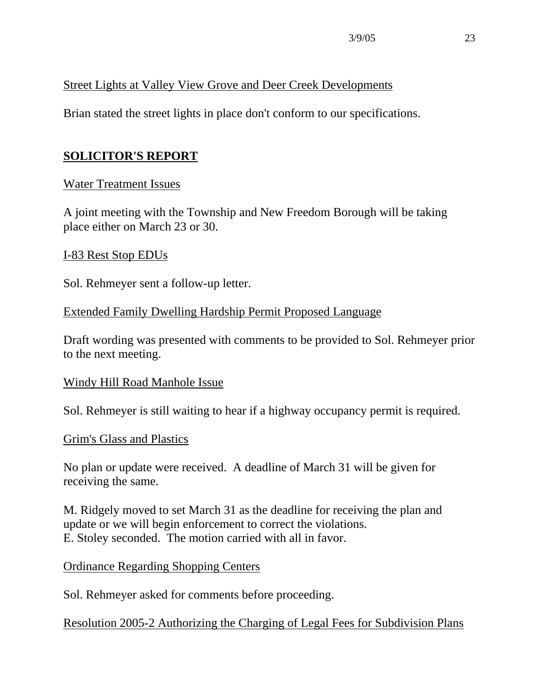## Street Lights at Valley View Grove and Deer Creek Developments

Brian stated the street lights in place don't conform to our specifications.

# **SOLICITOR'S REPORT**

## Water Treatment Issues

A joint meeting with the Township and New Freedom Borough will be taking place either on March 23 or 30.

#### I-83 Rest Stop EDUs

Sol. Rehmeyer sent a follow-up letter.

## Extended Family Dwelling Hardship Permit Proposed Language

Draft wording was presented with comments to be provided to Sol. Rehmeyer prior to the next meeting.

#### Windy Hill Road Manhole Issue

Sol. Rehmeyer is still waiting to hear if a highway occupancy permit is required.

#### Grim's Glass and Plastics

No plan or update were received. A deadline of March 31 will be given for receiving the same.

M. Ridgely moved to set March 31 as the deadline for receiving the plan and update or we will begin enforcement to correct the violations. E. Stoley seconded. The motion carried with all in favor.

Ordinance Regarding Shopping Centers

Sol. Rehmeyer asked for comments before proceeding.

Resolution 2005-2 Authorizing the Charging of Legal Fees for Subdivision Plans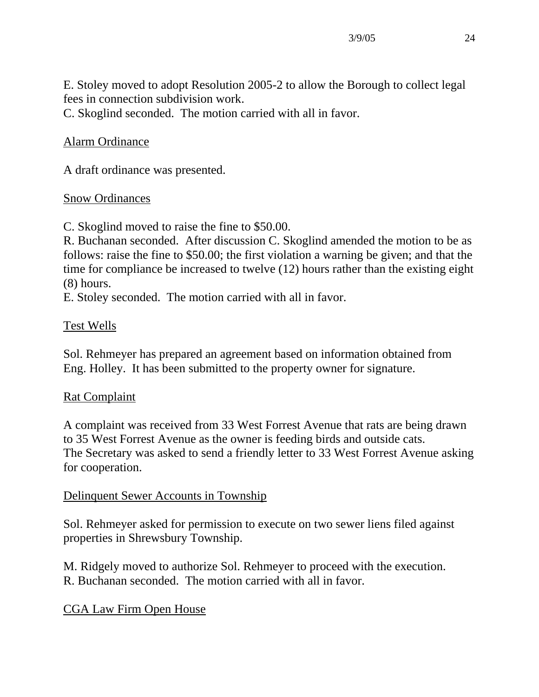E. Stoley moved to adopt Resolution 2005-2 to allow the Borough to collect legal fees in connection subdivision work.

C. Skoglind seconded. The motion carried with all in favor.

# Alarm Ordinance

A draft ordinance was presented.

## Snow Ordinances

C. Skoglind moved to raise the fine to \$50.00.

R. Buchanan seconded. After discussion C. Skoglind amended the motion to be as follows: raise the fine to \$50.00; the first violation a warning be given; and that the time for compliance be increased to twelve (12) hours rather than the existing eight (8) hours.

E. Stoley seconded. The motion carried with all in favor.

## Test Wells

Sol. Rehmeyer has prepared an agreement based on information obtained from Eng. Holley. It has been submitted to the property owner for signature.

## Rat Complaint

A complaint was received from 33 West Forrest Avenue that rats are being drawn to 35 West Forrest Avenue as the owner is feeding birds and outside cats. The Secretary was asked to send a friendly letter to 33 West Forrest Avenue asking for cooperation.

## Delinquent Sewer Accounts in Township

Sol. Rehmeyer asked for permission to execute on two sewer liens filed against properties in Shrewsbury Township.

M. Ridgely moved to authorize Sol. Rehmeyer to proceed with the execution. R. Buchanan seconded. The motion carried with all in favor.

# CGA Law Firm Open House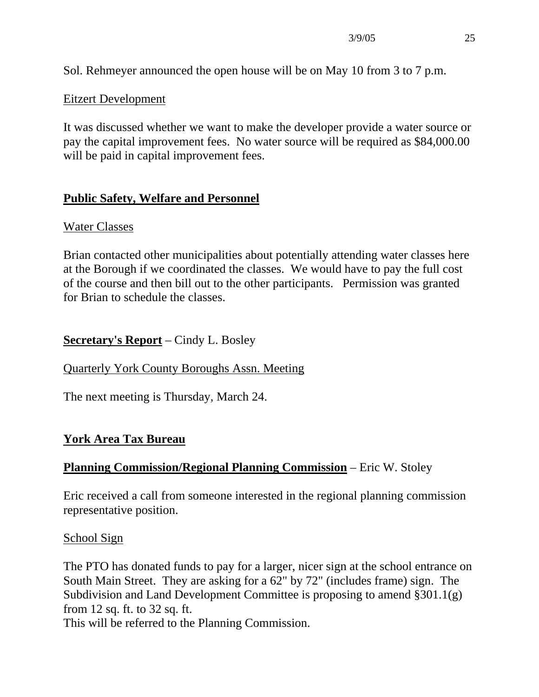Sol. Rehmeyer announced the open house will be on May 10 from 3 to 7 p.m.

## Eitzert Development

It was discussed whether we want to make the developer provide a water source or pay the capital improvement fees. No water source will be required as \$84,000.00 will be paid in capital improvement fees.

# **Public Safety, Welfare and Personnel**

## Water Classes

Brian contacted other municipalities about potentially attending water classes here at the Borough if we coordinated the classes. We would have to pay the full cost of the course and then bill out to the other participants. Permission was granted for Brian to schedule the classes.

# **Secretary's Report** – Cindy L. Bosley

Quarterly York County Boroughs Assn. Meeting

The next meeting is Thursday, March 24.

# **York Area Tax Bureau**

# **Planning Commission/Regional Planning Commission** – Eric W. Stoley

Eric received a call from someone interested in the regional planning commission representative position.

School Sign

The PTO has donated funds to pay for a larger, nicer sign at the school entrance on South Main Street. They are asking for a 62" by 72" (includes frame) sign. The Subdivision and Land Development Committee is proposing to amend §301.1(g) from 12 sq. ft. to 32 sq. ft.

This will be referred to the Planning Commission.